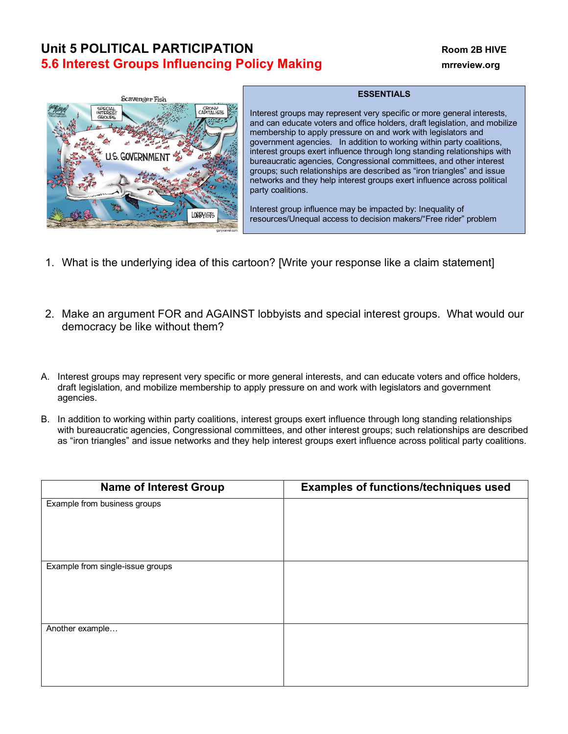## **Unit 5 POLITICAL PARTICIPATION Room 2B HIVE 5.6 Interest Groups Influencing Policy Making <b>matrice and all an** interview.org



## **ESSENTIALS**

Interest groups may represent very specific or more general interests, and can educate voters and office holders, draft legislation, and mobilize membership to apply pressure on and work with legislators and government agencies. In addition to working within party coalitions, interest groups exert influence through long standing relationships with bureaucratic agencies, Congressional committees, and other interest groups; such relationships are described as "iron triangles" and issue networks and they help interest groups exert influence across political party coalitions.

Interest group influence may be impacted by: Inequality of resources/Unequal access to decision makers/"Free rider" problem

- 1. What is the underlying idea of this cartoon? [Write your response like a claim statement]
- 2. Make an argument FOR and AGAINST lobbyists and special interest groups. What would our democracy be like without them?
- A. Interest groups may represent very specific or more general interests, and can educate voters and office holders, draft legislation, and mobilize membership to apply pressure on and work with legislators and government agencies.
- B. In addition to working within party coalitions, interest groups exert influence through long standing relationships with bureaucratic agencies, Congressional committees, and other interest groups; such relationships are described as "iron triangles" and issue networks and they help interest groups exert influence across political party coalitions.

| <b>Name of Interest Group</b>    | <b>Examples of functions/techniques used</b> |  |
|----------------------------------|----------------------------------------------|--|
| Example from business groups     |                                              |  |
|                                  |                                              |  |
|                                  |                                              |  |
|                                  |                                              |  |
| Example from single-issue groups |                                              |  |
|                                  |                                              |  |
|                                  |                                              |  |
|                                  |                                              |  |
| Another example                  |                                              |  |
|                                  |                                              |  |
|                                  |                                              |  |
|                                  |                                              |  |